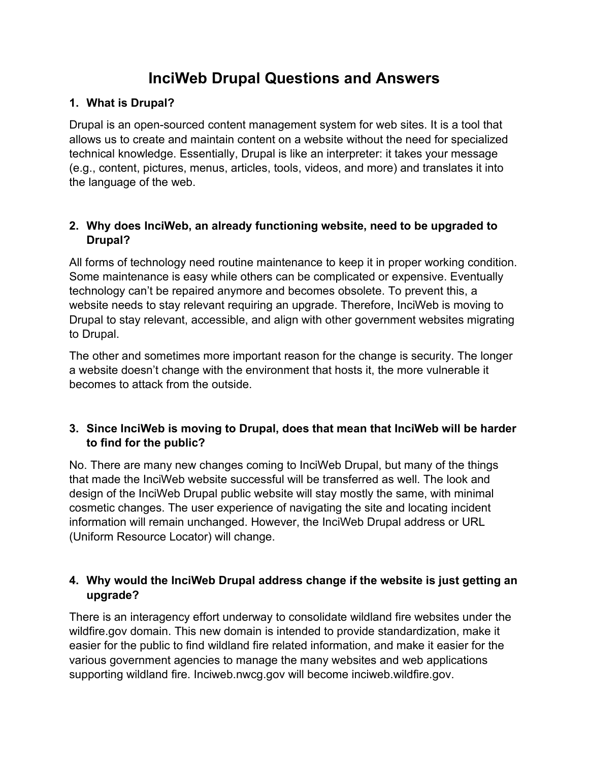# **InciWeb Drupal Questions and Answers**

# **1. What is Drupal?**

Drupal is an open-sourced content management system for web sites. It is a tool that allows us to create and maintain content on a website without the need for specialized technical knowledge. Essentially, Drupal is like an interpreter: it takes your message (e.g., content, pictures, menus, articles, tools, videos, and more) and translates it into the language of the web.

# **2. Why does InciWeb, an already functioning website, need to be upgraded to Drupal?**

All forms of technology need routine maintenance to keep it in proper working condition. Some maintenance is easy while others can be complicated or expensive. Eventually technology can't be repaired anymore and becomes obsolete. To prevent this, a website needs to stay relevant requiring an upgrade. Therefore, InciWeb is moving to Drupal to stay relevant, accessible, and align with other government websites migrating to Drupal.

The other and sometimes more important reason for the change is security. The longer a website doesn't change with the environment that hosts it, the more vulnerable it becomes to attack from the outside.

## **3. Since InciWeb is moving to Drupal, does that mean that InciWeb will be harder to find for the public?**

No. There are many new changes coming to InciWeb Drupal, but many of the things that made the InciWeb website successful will be transferred as well. The look and design of the InciWeb Drupal public website will stay mostly the same, with minimal cosmetic changes. The user experience of navigating the site and locating incident information will remain unchanged. However, the InciWeb Drupal address or URL (Uniform Resource Locator) will change.

# **4. Why would the InciWeb Drupal address change if the website is just getting an upgrade?**

There is an interagency effort underway to consolidate wildland fire websites under the wildfire.gov domain. This new domain is intended to provide standardization, make it easier for the public to find wildland fire related information, and make it easier for the various government agencies to manage the many websites and web applications supporting wildland fire. Inciweb.nwcg.gov will become inciweb.wildfire.gov.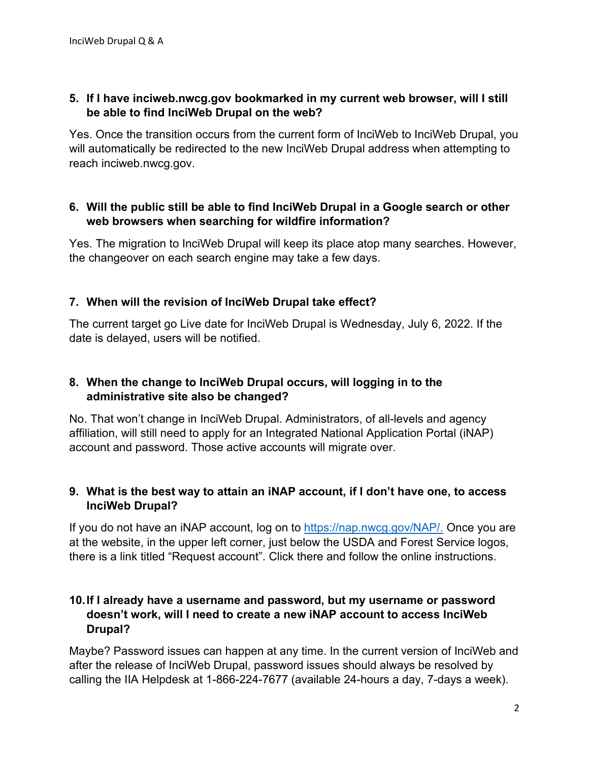### **5. If I have inciweb.nwcg.gov bookmarked in my current web browser, will I still be able to find InciWeb Drupal on the web?**

Yes. Once the transition occurs from the current form of InciWeb to InciWeb Drupal, you will automatically be redirected to the new InciWeb Drupal address when attempting to reach inciweb.nwcg.gov.

#### **6. Will the public still be able to find InciWeb Drupal in a Google search or other web browsers when searching for wildfire information?**

Yes. The migration to InciWeb Drupal will keep its place atop many searches. However, the changeover on each search engine may take a few days.

## **7. When will the revision of InciWeb Drupal take effect?**

The current target go Live date for InciWeb Drupal is Wednesday, July 6, 2022. If the date is delayed, users will be notified.

## **8. When the change to InciWeb Drupal occurs, will logging in to the administrative site also be changed?**

No. That won't change in InciWeb Drupal. Administrators, of all-levels and agency affiliation, will still need to apply for an Integrated National Application Portal (iNAP) account and password. Those active accounts will migrate over.

## **9. What is the best way to attain an iNAP account, if I don't have one, to access InciWeb Drupal?**

If you do not have an iNAP account, log on to [https://nap.nwcg.gov/NAP/.](https://nap.nwcg.gov/NAP/) Once you are at the website, in the upper left corner, just below the USDA and Forest Service logos, there is a link titled "Request account". Click there and follow the online instructions.

### **10.If I already have a username and password, but my username or password doesn't work, will I need to create a new iNAP account to access InciWeb Drupal?**

Maybe? Password issues can happen at any time. In the current version of InciWeb and after the release of InciWeb Drupal, password issues should always be resolved by calling the IIA Helpdesk at 1-866-224-7677 (available 24-hours a day, 7-days a week).